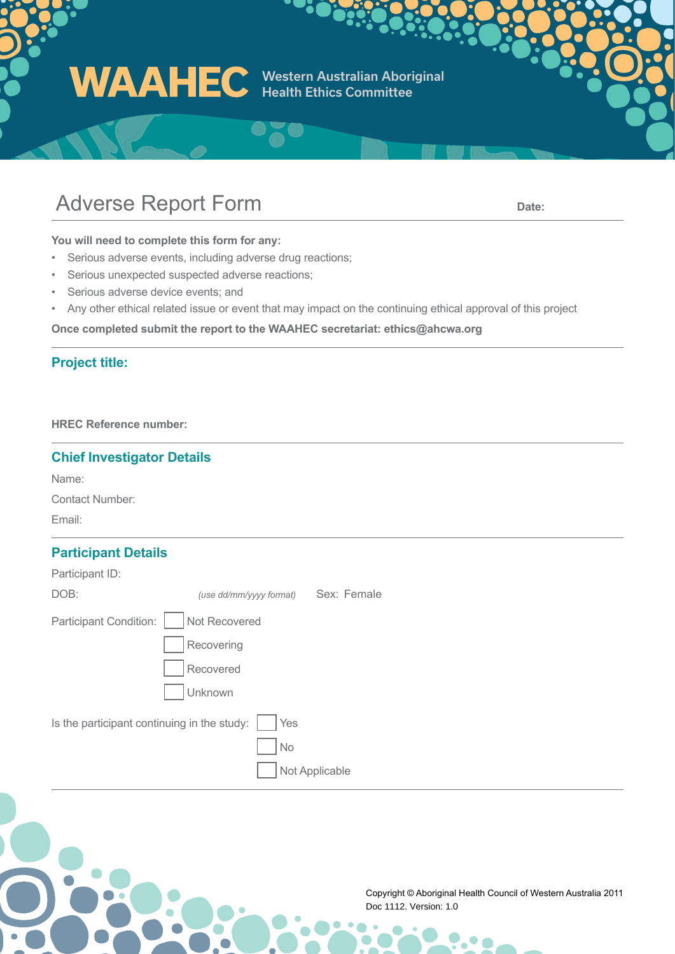Western Australian Aboriginal Health Ethics Committee

## Adverse Report Form **Date: Date: Date:**

**You will need to complete this form for any:**

- Serious adverse events, including adverse drug reactions;
- Serious unexpected suspected adverse reactions;
- Serious adverse device events; and
- Any other ethical related issue or event that may impact on the continuing ethical approval of this project

**Once completed submit the report to the WAAHEC secretariat: ethics@ahcwa.org** 

#### **Project title:**

**HREC Reference number:** 

#### **Chief Investigator Details**

Name:

Contact Number:

Email:

#### **Participant Details**

| Participant ID:                                    |                         |             |  |
|----------------------------------------------------|-------------------------|-------------|--|
| DOB:                                               | (use dd/mm/yyyy format) | Sex: Female |  |
| Participant Condition:                             | Not Recovered           |             |  |
|                                                    | Recovering              |             |  |
|                                                    | Recovered               |             |  |
|                                                    | Unknown                 |             |  |
| Is the participant continuing in the study:<br>Yes |                         |             |  |
|                                                    | No                      |             |  |
|                                                    | Not Applicable          |             |  |
|                                                    |                         |             |  |

Copyright © Aboriginal Health Council of Western Australia 2011 Doc 1112. Version: 1.0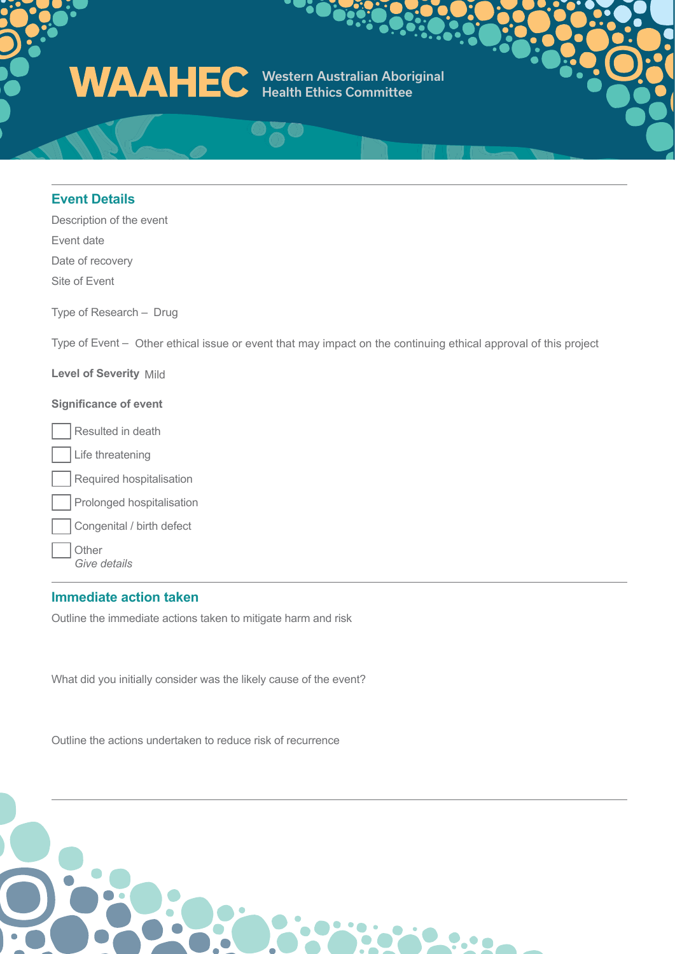

#### **Event Details**

Description of the event Event date Date of recovery Site of Event

Type of Research – Drug

Type of Event – Other ethical issue or event that may impact on the continuing ethical approval of this project

**Level of Severity** Mild

#### **Significance of event**

Resulted in death

- Life threatening
- Required hospitalisation

|  |  | Prolonged hospitalisation |
|--|--|---------------------------|
|--|--|---------------------------|

Congenital / birth defect

**Other** *Give details*

#### **Immediate action taken**

Outline the immediate actions taken to mitigate harm and risk

What did you initially consider was the likely cause of the event?

Outline the actions undertaken to reduce risk of recurrence

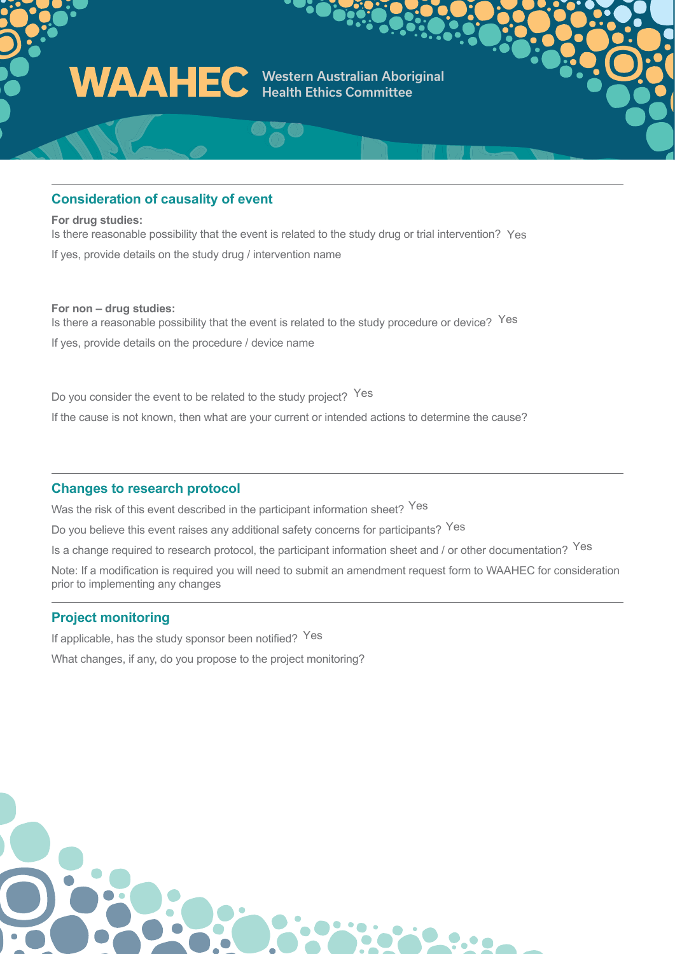

#### **Consideration of causality of event**

**For drug studies:**  Is there reasonable possibility that the event is related to the study drug or trial intervention? Yes If yes, provide details on the study drug / intervention name

#### **For non – drug studies:**

Is there a reasonable possibility that the event is related to the study procedure or device? Yes If yes, provide details on the procedure / device name

Do you consider the event to be related to the study project? Yes If the cause is not known, then what are your current or intended actions to determine the cause?

#### **Changes to research protocol**

Was the risk of this event described in the participant information sheet? <sup>Yes</sup>

Do you believe this event raises any additional safety concerns for participants? Yes

Is a change required to research protocol, the participant information sheet and / or other documentation? <sup>Yes</sup>

Note: If a modification is required you will need to submit an amendment request form to WAAHEC for consideration prior to implementing any changes

#### **Project monitoring**

If applicable, has the study sponsor been notified? Yes What changes, if any, do you propose to the project monitoring?